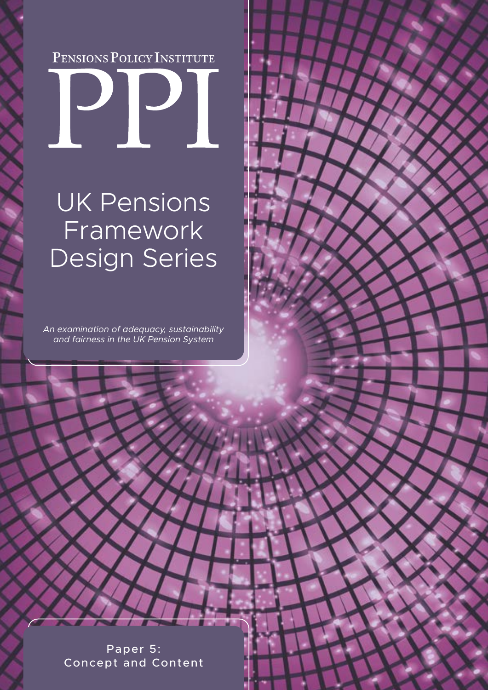# PENSIONS POLICY INSTITUTE



## UK Pensions Framework Design Series

*An examination of adequacy, sustainability and fairness in the UK Pension System* 

> Paper 5: Concept and Content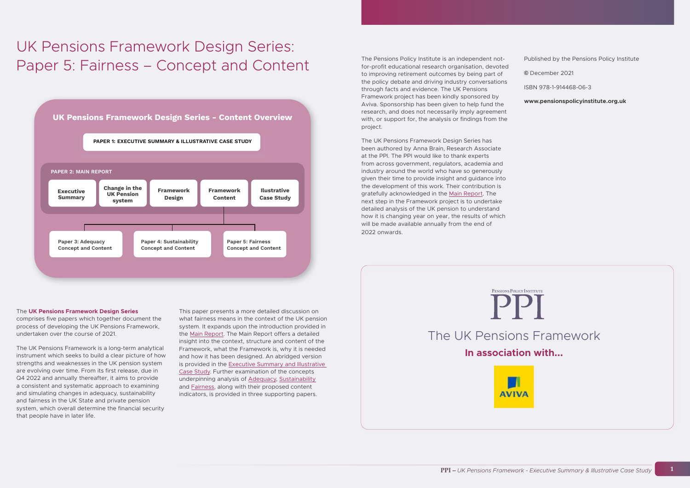### UK Pensions Framework Design Series: Paper 5: Fairness – Concept and Content



comprises five papers which together document the process of developing the UK Pensions Framework, undertaken over the course of 2021.

The UK Pensions Framework is a long-term analytical instrument which seeks to build a clear picture of how strengths and weaknesses in the UK pension system are evolving over time. From its first release, due in Q4 2022 and annually thereafter, it aims to provide a consistent and systematic approach to examining and simulating changes in adequacy, sustainability and fairness in the UK State and private pension system, which overall determine the financial security that people have in later life.

This paper presents a more detailed discussion on what fairness means in the context of the UK pension system. It expands upon the introduction provided in the [Main Report](https://www.pensionspolicyinstitute.org.uk/sponsor-research/research-reports/2021/2021-12-14-the-uk-pensions-framework-paper-2/). The Main Report offers a detailed insight into the context, structure and content of the Framework, what the Framework is, why it is needed and how it has been designed. An abridged version is provided in the [Executive Summary and Illustrative](https://www.pensionspolicyinstitute.org.uk/sponsor-research/research-reports/2021/2021-12-14-the-uk-pensions-framework-paper-1/)  [Case Study](https://www.pensionspolicyinstitute.org.uk/sponsor-research/research-reports/2021/2021-12-14-the-uk-pensions-framework-paper-1/). Further examination of the concepts underpinning analysis of [Adequacy](https://www.pensionspolicyinstitute.org.uk/sponsor-research/research-reports/2021/2021-12-14-the-uk-pensions-framework-paper-3/), [Sustainability](https://www.pensionspolicyinstitute.org.uk/sponsor-research/research-reports/2021/2021-12-14-the-uk-pensions-framework-paper-4/) and [Fairness,](https://www.pensionspolicyinstitute.org.uk/sponsor-research/research-reports/2021/2021-12-14-the-uk-pensions-framework-paper-5/) along with their proposed content indicators, is provided in three supporting papers.

The Pensions Policy Institute is an independent notfor-profit educational research organisation, devoted to improving retirement outcomes by being part of the policy debate and driving industry conversations through facts and evidence. The UK Pensions Framework project has been kindly sponsored by Aviva. Sponsorship has been given to help fund the research, and does not necessarily imply agreement with, or support for, the analysis or findings from the project.

The UK Pensions Framework Design Series has been authored by Anna Brain, Research Associate at the PPI. The PPI would like to thank experts from across government, regulators, academia and industry around the world who have so generously given their time to provide insight and guidance into the development of this work. Their contribution is gratefully acknowledged in the [Main Report.](https://www.pensionspolicyinstitute.org.uk/sponsor-research/research-reports/2021/2021-12-14-the-uk-pensions-framework-paper-2/) The next step in the Framework project is to undertake detailed analysis of the UK pension to understand how it is changing year on year, the results of which will be made available annually from the end of 2022 onwards.

Published by the Pensions Policy Institute

**©** December 2021

ISBN 978-1-914468-06-3

**www.pensionspolicyinstitute.org.uk**

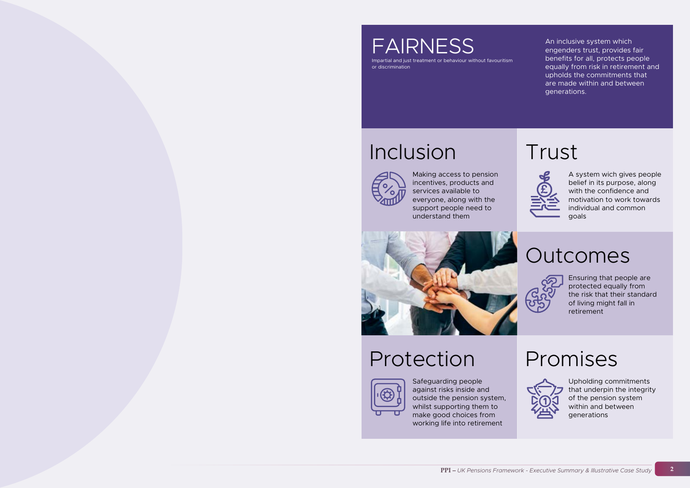Impartial and just treatment or behaviour without favouritism or discrimination

## Inclusion



# Protection



### Trust

## Outcomes



### Promises



An inclusive system which engenders trust, provides fair benefits for all, protects people equally from risk in retirement and upholds the commitments that are made within and between generations.

Making access to pension incentives, products and services available to everyone, along with the support people need to understand them



Safeguarding people against risks inside and outside the pension system, whilst supporting them to make good choices from working life into retirement

A system wich gives people belief in its purpose, along with the confidence and motivation to work towards individual and common goals

Ensuring that people are protected equally from the risk that their standard of living might fall in retirement

Upholding commitments that underpin the integrity of the pension system within and between generations

FAIRNESS

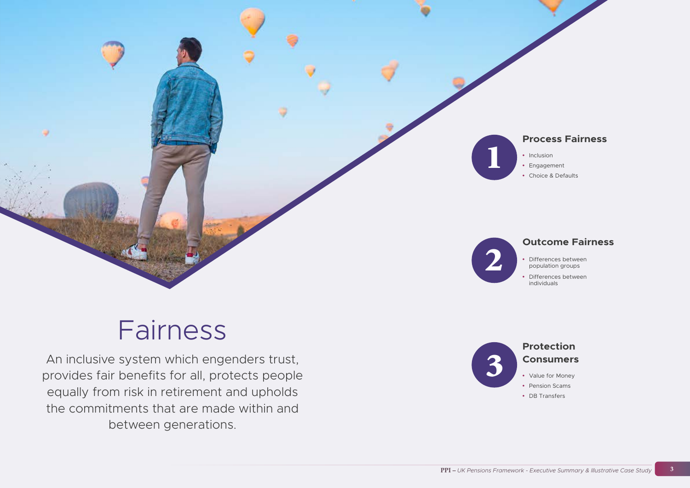# Fairness

An inclusive system which engenders trust, provides fair benefits for all, protects people equally from risk in retirement and upholds the commitments that are made within and between generations.





### **Process Fairness**

- **•** Inclusion
- **•** Engagement
- **•** Choice & Defaults

### **Outcome Fairness**

- **•** Differences between population groups
- **•** Differences between individuals

### **Protection Consumers**

- **•** Value for Money
- **•** Pension Scams
- **•** DB Transfers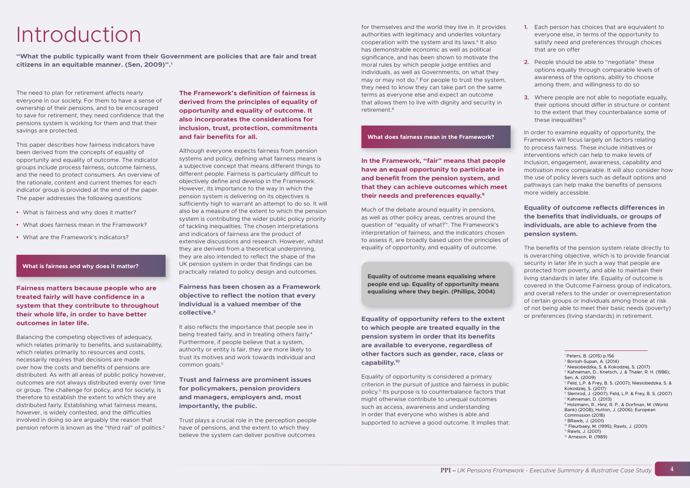# Introduction

**"What the public typically want from their Government are policies that are fair and treat citizens in an equitable manner. (Sen, 2009)".1** 

The need to plan for retirement affects nearly everyone in our society. For them to have a sense of ownership of their pensions, and to be encouraged to save for retirement, they need confidence that the pensions system is working for them and that their savings are protected.

This paper describes how fairness indicators have been derived from the concepts of equality of opportunity and equality of outcome. The indicator groups include process fairness, outcome fairness, and the need to protect consumers. An overview of the rationale, content and current themes for each indicator group is provided at the end of the paper. The paper addresses the following questions:

- **•** What is fairness and why does it matter?
- **•** What does fairness mean in the Framework?
- **•** What are the Framework's indicators?

#### **What is fairness and why does it matter?**

**Fairness matters because people who are treated fairly will have confidence in a system that they contribute to throughout their whole life, in order to have better outcomes in later life.**

Balancing the competing objectives of adequacy, which relates primarily to benefits, and sustainability, which relates primarily to resources and costs, necessarily requires that decisions are made over how the costs and benefits of pensions are distributed. As with all areas of public policy however, outcomes are not always distributed evenly over time or group. The challenge for policy, and for society, is therefore to establish the extent to which they are distributed fairly. Establishing what fairness means, however, is widely contested, and the difficulties involved in doing so are arguably the reason that pension reform is known as the "third rail" of politics.2

**The Framework's definition of fairness is derived from the principles of equality of opportunity and equality of outcome. It also incorporates the considerations for inclusion, trust, protection, commitments and fair benefits for all.** 

Although everyone expects fairness from pension systems and policy, defining what fairness means is a subjective concept that means different things to different people. Fairness is particularly difficult to objectively define and develop in the Framework. However, its importance to the way in which the pension system is delivering on its objectives is sufficiently high to warrant an attempt to do so. It will also be a measure of the extent to which the pension system is contributing the wider public policy priority of tackling inequalities. The chosen interpretations and indicators of fairness are the product of extensive discussions and research. However, whilst they are derived from a theoretical underpinning, they are also intended to reflect the shape of the UK pension system in order that findings can be practically related to policy design and outcomes.

- **1.** Each person has choices that are equivalent to everyone else, in terms of the opportunity to satisfy need and preferences through choices that are on offer
- **2.** People should be able to "negotiate" these options equally through comparable levels of awareness of the options, ability to choose among them, and willingness to do so
- **3.** Where people are not able to negotiate equally, their options should differ in structure or content to the extent that they counterbalance some of these inequalities<sup>12</sup>

#### **Fairness has been chosen as a Framework objective to reflect the notion that every individual is a valued member of the collective.3**

It also reflects the importance that people see in being treated fairly, and in treating others fairly.4 Furthermore, if people believe that a system, authority or entity is fair, they are more likely to trust its motives and work towards individual and common goals.<sup>5</sup>

#### **Trust and fairness are prominent issues for policymakers, pension providers and managers, employers and, most importantly, the public.**

Trust plays a crucial role in the perception people have of pensions, and the extent to which they believe the system can deliver positive outcomes

for themselves and the world they live in. It provides authorities with legitimacy and underlies voluntary cooperation with the system and its laws.<sup>6</sup> It also has demonstrable economic as well as political significance, and has been shown to motivate the moral rules by which people judge entities and individuals, as well as Governments, on what they may or may not do.7 For people to trust the system, they need to know they can take part on the same terms as everyone else and expect an outcome that allows them to live with dignity and security in retirement.8

#### **What does fairness mean in the Framework?**

**In the Framework, "fair" means that people have an equal opportunity to participate in and benefit from the pension system, and that they can achieve outcomes which meet their needs and preferences equally.9**

Much of the debate around equality in pensions, as well as other policy areas, centres around the question of "equality of what?". The Framework's interpretation of fairness, and the indicators chosen to assess it, are broadly based upon the principles of equality of opportunity, and equality of outcome.

**Equality of outcome means equalising where people end up. Equality of opportunity means equalising where they begin. (Phillips, 2004)**

**Equality of opportunity refers to the extent to which people are treated equally in the pension system in order that its benefits are available to everyone, regardless of other factors such as gender, race, class or capability.10** 

Equality of opportunity is considered a primary criterion in the pursuit of justice and fairness in public policy.11 Its purpose is to counterbalance factors that might otherwise contribute to unequal outcomes such as access, awareness and understanding in order that everyone who wishes is able and supported to achieve a good outcome. It implies that:

In order to examine equality of opportunity, the Framework will focus largely on factors relating to process fairness. These include initiatives or interventions which can help to make levels of inclusion, engagement, awareness, capability and motivation more comparable. It will also consider how the use of policy levers such as default options and pathways can help make the benefits of pensions more widely accessible.

#### **Equality of outcome reflects differences in the benefits that individuals, or groups of individuals, are able to achieve from the pension system.**

The benefits of the pension system relate directly to is overarching objective, which is to provide financial security in later life in such a way that people are protected from poverty, and able to maintain their living standards in later life. Equality of outcome is covered in the Outcome Fairness group of indicators, and overall refers to the under or overrepresentation of certain groups or individuals among those at risk of not being able to meet their basic needs (poverty) or preferences (living standards) in retirement.

<sup>&</sup>lt;sup>8</sup> Holzmann, R., Hinz, R. P., & Dorfman, M. (World Bank) (2008); Hutton, J. (2006); European Commission (2018)

<sup>1</sup> Peters, B. (2015) p.156

 $2$  Borssh-Supan, A. (2014)

<sup>3</sup> Niesiobedzka, S. & Kokodziej, S. (2017)

<sup>4</sup> Kahneman, D., Knetsch, J. & Thaler, R. H. (1986); Sen, A. (2009)

<sup>5</sup> Feld, L.P. & Frey, B. S. (2007); Niesiobedzka, S. & Kokodziej, S. (2017)

 $6$  Slemrod, J. (2007); Feld, L.P. & Frey, B. S. (2007).  $<sup>7</sup>$  Kahneman, D. (2013)</sup>

<sup>9</sup> BRawls, J. (2001)

<sup>10</sup> Fleurbaey, M. (1995); Rawls, J. (2001)

 $11$  Rawls, J. (2001)

<sup>12</sup> Arneson, R. (1989)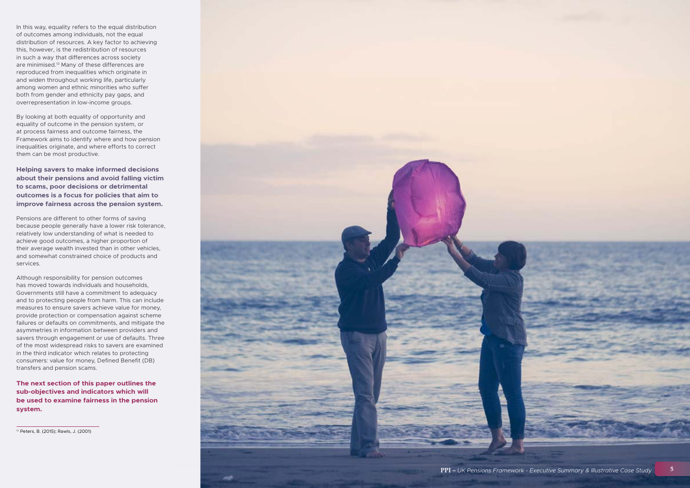

In this way, equality refers to the equal distribution of outcomes among individuals, not the equal distribution of resources. A key factor to achieving this, however, is the redistribution of resources in such a way that differences across society are minimised.13 Many of these differences are reproduced from inequalities which originate in and widen throughout working life, particularly among women and ethnic minorities who suffer both from gender and ethnicity pay gaps, and overrepresentation in low-income groups.

By looking at both equality of opportunity and equality of outcome in the pension system, or at process fairness and outcome fairness, the Framework aims to identify where and how pension inequalities originate, and where efforts to correct them can be most productive.

**Helping savers to make informed decisions about their pensions and avoid falling victim to scams, poor decisions or detrimental outcomes is a focus for policies that aim to improve fairness across the pension system.** 

Pensions are different to other forms of saving because people generally have a lower risk tolerance, relatively low understanding of what is needed to achieve good outcomes, a higher proportion of their average wealth invested than in other vehicles, and somewhat constrained choice of products and services.

Although responsibility for pension outcomes has moved towards individuals and households, Governments still have a commitment to adequacy and to protecting people from harm. This can include measures to ensure savers achieve value for money, provide protection or compensation against scheme failures or defaults on commitments, and mitigate the asymmetries in information between providers and savers through engagement or use of defaults. Three of the most widespread risks to savers are examined in the third indicator which relates to protecting consumers: value for money, Defined Benefit (DB) transfers and pension scams.

**The next section of this paper outlines the sub-objectives and indicators which will be used to examine fairness in the pension system.** 

13 Peters, B. (2015); Rawls, J. (2001)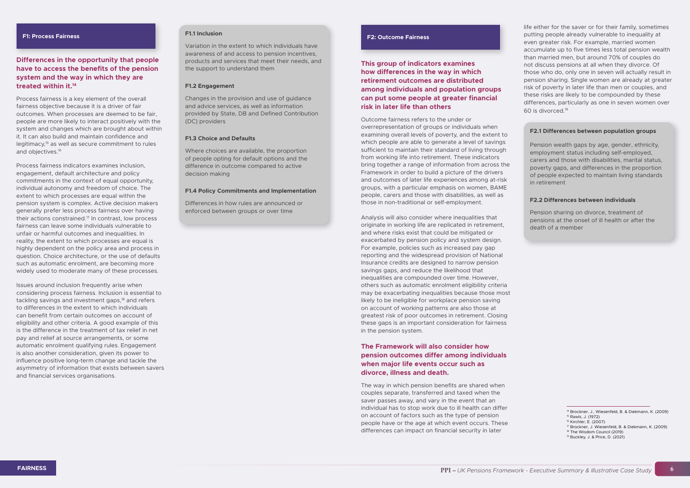#### **F1: Process Fairness**

Process fairness is a key element of the overall fairness objective because it is a driver of fair outcomes. When processes are deemed to be fair, people are more likely to interact positively with the system and changes which are brought about within it. It can also build and maintain confidence and legitimacy,15 as well as secure commitment to rules and objectives.<sup>16</sup>

#### **Differences in the opportunity that people have to access the benefits of the pension system and the way in which they are treated within it.14**

Process fairness indicators examines inclusion, engagement, default architecture and policy commitments in the context of equal opportunity, individual autonomy and freedom of choice. The extent to which processes are equal within the pension system is complex. Active decision makers generally prefer less process fairness over having their actions constrained.17 In contrast, low process fairness can leave some individuals vulnerable to unfair or harmful outcomes and inequalities. In reality, the extent to which processes are equal is highly dependent on the policy area and process in question. Choice architecture, or the use of defaults such as automatic enrolment, are becoming more widely used to moderate many of these processes.

Issues around inclusion frequently arise when considering process fairness. Inclusion is essential to tackling savings and investment gaps,<sup>18</sup> and refers to differences in the extent to which individuals can benefit from certain outcomes on account of eligibility and other criteria. A good example of this is the difference in the treatment of tax relief in net pay and relief at source arrangements, or some automatic enrolment qualifying rules. Engagement is also another consideration, given its power to influence positive long-term change and tackle the asymmetry of information that exists between savers and financial services organisations.

#### **F1.1 Inclusion**

Variation in the extent to which individuals have awareness of and access to pension incentives, products and services that meet their needs, and the support to understand them

#### **F1.2 Engagement**

Changes in the provision and use of guidance and advice services, as well as information provided by State, DB and Defined Contribution (DC) providers

#### **F1.3 Choice and Defaults**

Where choices are available, the proportion of people opting for default options and the difference in outcome compared to active decision making

#### **F1.4 Policy Commitments and Implementation**

Differences in how rules are announced or enforced between groups or over time

#### **F2: Outcome Fairness**

#### **This group of indicators examines how differences in the way in which retirement outcomes are distributed among individuals and population groups can put some people at greater financial risk in later life than others**

Outcome fairness refers to the under or overrepresentation of groups or individuals when examining overall levels of poverty, and the extent to which people are able to generate a level of savings sufficient to maintain their standard of living through from working life into retirement. These indicators bring together a range of information from across the Framework in order to build a picture of the drivers and outcomes of later life experiences among at-risk groups, with a particular emphasis on women, BAME people, carers and those with disabilities, as well as those in non-traditional or self-employment.

Analysis will also consider where inequalities that originate in working life are replicated in retirement, and where risks exist that could be mitigated or exacerbated by pension policy and system design. For example, policies such as increased pay gap reporting and the widespread provision of National Insurance credits are designed to narrow pension savings gaps, and reduce the likelihood that inequalities are compounded over time. However, others such as automatic enrolment eligibility criteria may be exacerbating inequalities because those most likely to be ineligible for workplace pension saving on account of working patterns are also those at greatest risk of poor outcomes in retirement. Closing these gaps is an important consideration for fairness in the pension system.

#### **The Framework will also consider how pension outcomes differ among individuals when major life events occur such as divorce, illness and death.**

The way in which pension benefits are shared when couples separate, transferred and taxed when the saver passes away, and vary in the event that an individual has to stop work due to ill health can differ on account of factors such as the type of pension people have or the age at which event occurs. These differences can impact on financial security in later

life either for the saver or for their family, sometimes putting people already vulnerable to inequality at even greater risk. For example, married women accumulate up to five times less total pension wealth than married men, but around 70% of couples do not discuss pensions at all when they divorce. Of those who do, only one in seven will actually result in pension sharing. Single women are already at greater risk of poverty in later life than men or couples, and these risks are likely to be compounded by these differences, particularly as one in seven women over 60 is divorced.19

#### **F2.1 Differences between population groups**

Pension wealth gaps by age, gender, ethnicity, employment status including self-employed, carers and those with disabilities, marital status, poverty gaps, and differences in the proportion of people expected to maintain living standards in retirement

#### **F2.2 Differences between individuals**

Pension sharing on divorce, treatment of pensions at the onset of ill health or after the death of a member

<sup>14</sup> Brockner, J., Wiesenfeld, B. & Diekmann, K. (2009) 15 Rawls, J. (1972)

<sup>16</sup> Kirchler, E. (2007)

<sup>17</sup> Brockner, J. Wiesenfeld, B. & Diekmann, K. (2009)

<sup>18</sup> The Wisdom Council (2019)

<sup>19</sup> Buckley, J. & Price, D. (2021)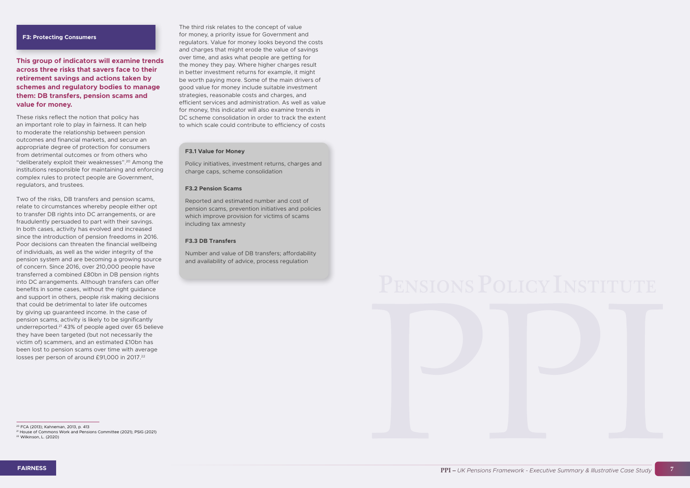

#### **F3: Protecting Consumers**

**This group of indicators will examine trends across three risks that savers face to their retirement savings and actions taken by schemes and regulatory bodies to manage them: DB transfers, pension scams and value for money.** 

Two of the risks, DB transfers and pension scams, relate to circumstances whereby people either opt to transfer DB rights into DC arrangements, or are fraudulently persuaded to part with their savings. In both cases, activity has evolved and increased since the introduction of pension freedoms in 2016. Poor decisions can threaten the financial wellbeing of individuals, as well as the wider integrity of the pension system and are becoming a growing source of concern. Since 2016, over 210,000 people have transferred a combined £80bn in DB pension rights into DC arrangements. Although transfers can offer benefits in some cases, without the right guidance and support in others, people risk making decisions that could be detrimental to later life outcomes by giving up guaranteed income. In the case of pension scams, activity is likely to be significantly underreported.21 43% of people aged over 65 believe they have been targeted (but not necessarily the victim of) scammers, and an estimated £10bn has been lost to pension scams over time with average losses per person of around £91,000 in 2017.<sup>22</sup>

These risks reflect the notion that policy has an important role to play in fairness. It can help to moderate the relationship between pension outcomes and financial markets, and secure an appropriate degree of protection for consumers from detrimental outcomes or from others who "deliberately exploit their weaknesses".20 Among the institutions responsible for maintaining and enforcing complex rules to protect people are Government, regulators, and trustees.

The third risk relates to the concept of value for money, a priority issue for Government and regulators. Value for money looks beyond the costs and charges that might erode the value of savings over time, and asks what people are getting for the money they pay. Where higher charges result in better investment returns for example, it might be worth paying more. Some of the main drivers of good value for money include suitable investment strategies, reasonable costs and charges, and efficient services and administration. As well as value for money, this indicator will also examine trends in DC scheme consolidation in order to track the extent to which scale could contribute to efficiency of costs

#### **F3.1 Value for Money**

Policy initiatives, investment returns, charges and charge caps, scheme consolidation

#### **F3.2 Pension Scams**

Reported and estimated number and cost of pension scams, prevention initiatives and policies which improve provision for victims of scams including tax amnesty

#### **F3.3 DB Transfers**

Number and value of DB transfers; affordability and availability of advice, process regulation



21 House of Commons Work and Pensions Committee (2021); PSIG (2021)

<sup>22</sup> Wilkinson, L. (2020)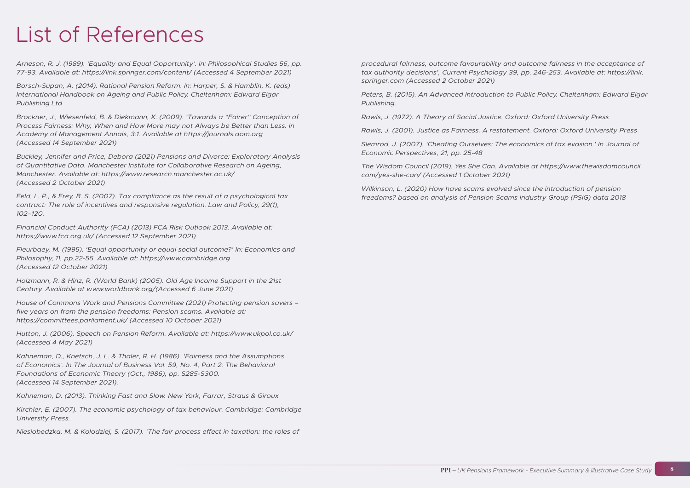# List of References

*Arneson, R. J. (1989). 'Equality and Equal Opportunity'. In: Philosophical Studies 56, pp. 77-93. Available at: https://link.springer.com/content/ (Accessed 4 September 2021)* 

*Borsch-Supan, A. (2014). Rational Pension Reform. In: Harper, S. & Hamblin, K. (eds) International Handbook on Ageing and Public Policy. Cheltenham: Edward Elgar Publishing Ltd*

*Brockner, J., Wiesenfeld, B. & Diekmann, K. (2009). 'Towards a "Fairer" Conception of Process Fairness: Why, When and How More may not Always be Better than Less. In Academy of Management Annals, 3:1. Available at https://journals.aom.org (Accessed 14 September 2021)* 

*Buckley, Jennifer and Price, Debora (2021) Pensions and Divorce: Exploratory Analysis of Quantitative Data. Manchester Institute for Collaborative Research on Ageing, Manchester. Available at: https://www.research.manchester.ac.uk/ (Accessed 2 October 2021)*

*Feld, L. P., & Frey, B. S. (2007). Tax compliance as the result of a psychological tax contract: The role of incentives and responsive regulation. Law and Policy, 29(1), 102–120.*

*Financial Conduct Authority (FCA) (2013) FCA Risk Outlook 2013. Available at: https://www.fca.org.uk/ (Accessed 12 September 2021)* 

*Fleurbaey, M. (1995). 'Equal opportunity or equal social outcome?' In: Economics and Philosophy, 11, pp.22-55. Available at: https://www.cambridge.org (Accessed 12 October 2021)*

*Holzmann, R. & Hinz, R. (World Bank) (2005). Old Age Income Support in the 21st Century. Available at www.worldbank.org/(Accessed 6 June 2021)*

*House of Commons Work and Pensions Committee (2021) Protecting pension savers – five years on from the pension freedoms: Pension scams. Available at: https://committees.parliament.uk/ (Accessed 10 October 2021)* 

*Hutton, J. (2006). Speech on Pension Reform. Available at: https://www.ukpol.co.uk/ (Accessed 4 May 2021)* 

*Kahneman, D., Knetsch, J. L. & Thaler, R. H. (1986). 'Fairness and the Assumptions of Economics'. In The Journal of Business Vol. 59, No. 4, Part 2: The Behavioral Foundations of Economic Theory (Oct., 1986), pp. S285-S300. (Accessed 14 September 2021).* 

*Kahneman, D. (2013). Thinking Fast and Slow. New York, Farrar, Straus & Giroux*

*Kirchler, E. (2007). The economic psychology of tax behaviour. Cambridge: Cambridge University Press.*

*Niesiobedzka, M. & Kolodziej, S. (2017). 'The fair process effect in taxation: the roles of* 

*procedural fairness, outcome favourability and outcome fairness in the acceptance of tax authority decisions', Current Psychology 39, pp. 246-253. Available at: https://link. springer.com (Accessed 2 October 2021)*

*Peters, B. (2015). An Advanced Introduction to Public Policy. Cheltenham: Edward Elgar Publishing.* 

*Rawls, J. (1972). A Theory of Social Justice. Oxford: Oxford University Press Rawls, J. (2001). Justice as Fairness. A restatement. Oxford: Oxford University Press Slemrod, J. (2007). 'Cheating Ourselves: The economics of tax evasion.' In Journal of* 

*Economic Perspectives, 21, pp. 25-48*

*The Wisdom Council (2019). Yes She Can. Available at https://www.thewisdomcouncil. com/yes-she-can/ (Accessed 1 October 2021)*

*Wilkinson, L. (2020) How have scams evolved since the introduction of pension freedoms? based on analysis of Pension Scams Industry Group (PSIG) data 2018*